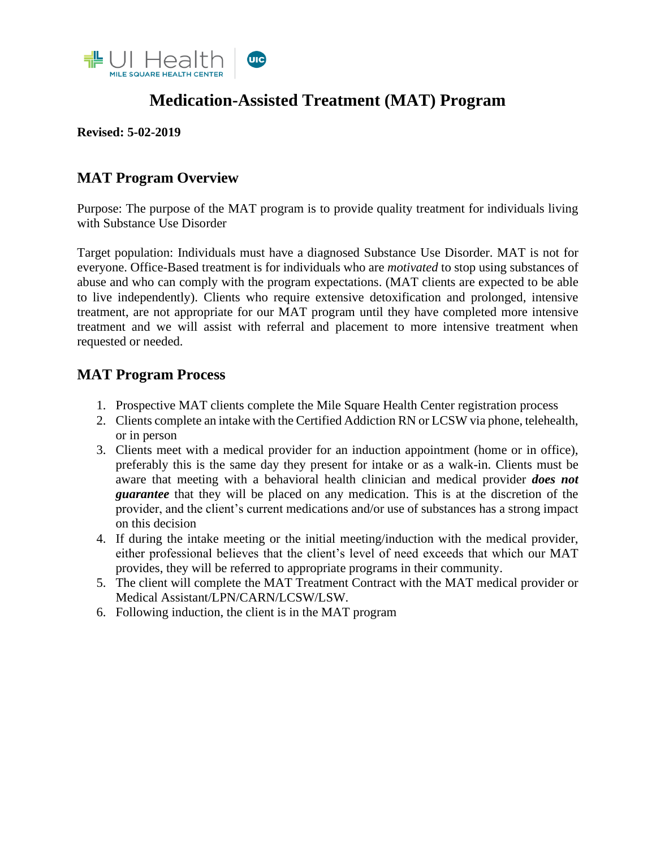

# **Medication-Assisted Treatment (MAT) Program**

#### **Revised: 5-02-2019**

### **MAT Program Overview**

Purpose: The purpose of the MAT program is to provide quality treatment for individuals living with Substance Use Disorder

Target population: Individuals must have a diagnosed Substance Use Disorder. MAT is not for everyone. Office-Based treatment is for individuals who are *motivated* to stop using substances of abuse and who can comply with the program expectations. (MAT clients are expected to be able to live independently). Clients who require extensive detoxification and prolonged, intensive treatment, are not appropriate for our MAT program until they have completed more intensive treatment and we will assist with referral and placement to more intensive treatment when requested or needed.

#### **MAT Program Process**

- 1. Prospective MAT clients complete the Mile Square Health Center registration process
- 2. Clients complete an intake with the Certified Addiction RN or LCSW via phone, telehealth, or in person
- 3. Clients meet with a medical provider for an induction appointment (home or in office), preferably this is the same day they present for intake or as a walk-in. Clients must be aware that meeting with a behavioral health clinician and medical provider *does not guarantee* that they will be placed on any medication. This is at the discretion of the provider, and the client's current medications and/or use of substances has a strong impact on this decision
- 4. If during the intake meeting or the initial meeting/induction with the medical provider, either professional believes that the client's level of need exceeds that which our MAT provides, they will be referred to appropriate programs in their community.
- 5. The client will complete the MAT Treatment Contract with the MAT medical provider or Medical Assistant/LPN/CARN/LCSW/LSW.
- 6. Following induction, the client is in the MAT program